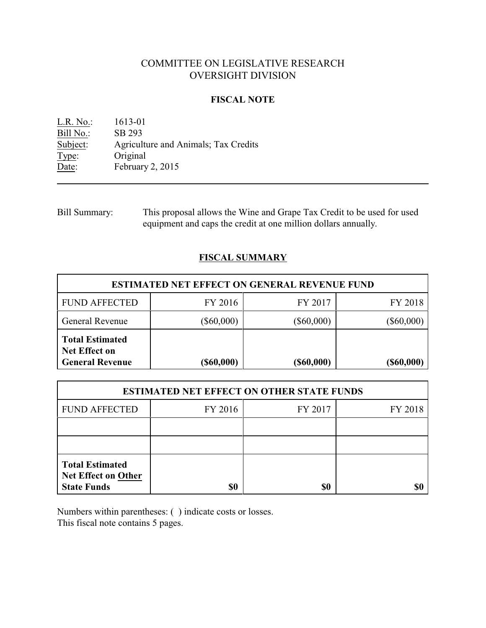# COMMITTEE ON LEGISLATIVE RESEARCH OVERSIGHT DIVISION

#### **FISCAL NOTE**

L.R. No.: 1613-01 Bill No.: SB 293<br>Subject: Agricult Agriculture and Animals; Tax Credits Type: Original Date: February 2, 2015

Bill Summary: This proposal allows the Wine and Grape Tax Credit to be used for used equipment and caps the credit at one million dollars annually.

## **FISCAL SUMMARY**

| <b>ESTIMATED NET EFFECT ON GENERAL REVENUE FUND</b>                      |                  |                  |              |  |
|--------------------------------------------------------------------------|------------------|------------------|--------------|--|
| <b>FUND AFFECTED</b>                                                     | FY 2016          | FY 2017          | FY 2018      |  |
| <b>General Revenue</b>                                                   | $(\$60,000)$     | $(\$60,000)$     | $(\$60,000)$ |  |
| <b>Total Estimated</b><br><b>Net Effect on</b><br><b>General Revenue</b> | $($ \$60,000 $)$ | $($ \$60,000 $)$ | (\$60,000)   |  |

| <b>ESTIMATED NET EFFECT ON OTHER STATE FUNDS</b>                           |         |         |         |  |
|----------------------------------------------------------------------------|---------|---------|---------|--|
| <b>FUND AFFECTED</b>                                                       | FY 2016 | FY 2017 | FY 2018 |  |
|                                                                            |         |         |         |  |
|                                                                            |         |         |         |  |
| <b>Total Estimated</b><br><b>Net Effect on Other</b><br><b>State Funds</b> | \$0     | \$0     |         |  |

Numbers within parentheses: ( ) indicate costs or losses. This fiscal note contains 5 pages.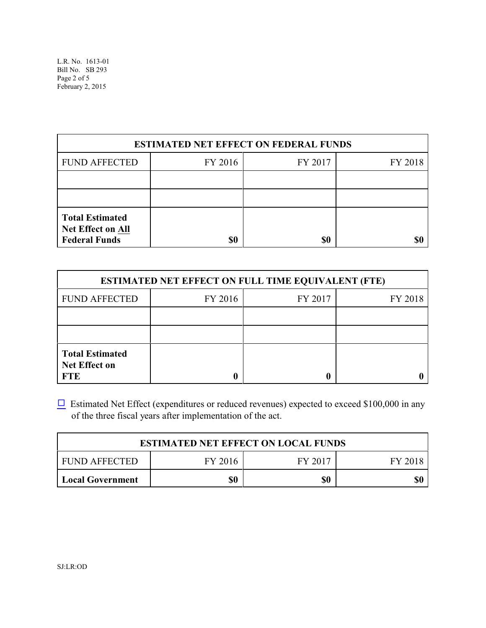L.R. No. 1613-01 Bill No. SB 293 Page 2 of 5 February 2, 2015

| <b>ESTIMATED NET EFFECT ON FEDERAL FUNDS</b>                               |         |         |         |  |
|----------------------------------------------------------------------------|---------|---------|---------|--|
| <b>FUND AFFECTED</b>                                                       | FY 2016 | FY 2017 | FY 2018 |  |
|                                                                            |         |         |         |  |
|                                                                            |         |         |         |  |
| <b>Total Estimated</b><br><b>Net Effect on All</b><br><b>Federal Funds</b> | \$0     | \$0     |         |  |

| <b>ESTIMATED NET EFFECT ON FULL TIME EQUIVALENT (FTE)</b>    |         |         |         |  |
|--------------------------------------------------------------|---------|---------|---------|--|
| <b>FUND AFFECTED</b>                                         | FY 2016 | FY 2017 | FY 2018 |  |
|                                                              |         |         |         |  |
|                                                              |         |         |         |  |
| <b>Total Estimated</b><br><b>Net Effect on</b><br><b>FTE</b> |         |         |         |  |

 $\Box$  Estimated Net Effect (expenditures or reduced revenues) expected to exceed \$100,000 in any of the three fiscal years after implementation of the act.

| <b>ESTIMATED NET EFFECT ON LOCAL FUNDS</b> |         |         |         |  |
|--------------------------------------------|---------|---------|---------|--|
| FUND AFFECTED                              | FY 2016 | FY 2017 | FY 2018 |  |
| Local Government                           | \$0     | \$0     | \$0     |  |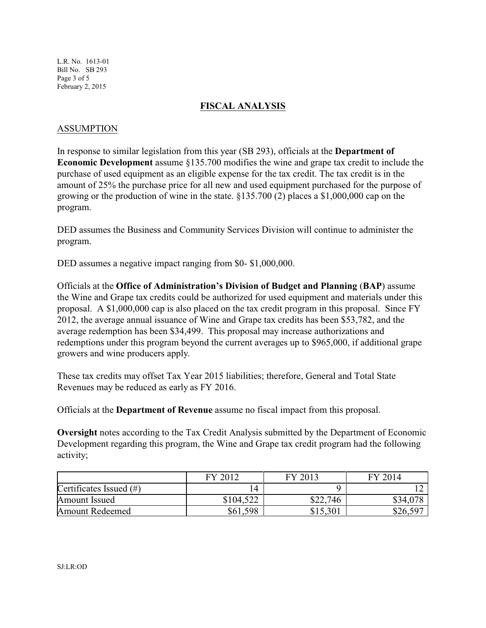L.R. No. 1613-01 Bill No. SB 293 Page 3 of 5 February 2, 2015

## **FISCAL ANALYSIS**

#### ASSUMPTION

In response to similar legislation from this year (SB 293), officials at the **Department of Economic Development** assume §135.700 modifies the wine and grape tax credit to include the purchase of used equipment as an eligible expense for the tax credit. The tax credit is in the amount of 25% the purchase price for all new and used equipment purchased for the purpose of growing or the production of wine in the state. §135.700 (2) places a \$1,000,000 cap on the program.

DED assumes the Business and Community Services Division will continue to administer the program.

DED assumes a negative impact ranging from \$0-\$1,000,000.

Officials at the **Office of Administration's Division of Budget and Planning** (**BAP**) assume the Wine and Grape tax credits could be authorized for used equipment and materials under this proposal. A \$1,000,000 cap is also placed on the tax credit program in this proposal. Since FY 2012, the average annual issuance of Wine and Grape tax credits has been \$53,782, and the average redemption has been \$34,499. This proposal may increase authorizations and redemptions under this program beyond the current averages up to \$965,000, if additional grape growers and wine producers apply.

These tax credits may offset Tax Year 2015 liabilities; therefore, General and Total State Revenues may be reduced as early as FY 2016.

Officials at the **Department of Revenue** assume no fiscal impact from this proposal.

**Oversight** notes according to the Tax Credit Analysis submitted by the Department of Economic Development regarding this program, the Wine and Grape tax credit program had the following activity;

|                            | 2012<br>гv     | 2013<br>FV | 12014<br>FV     |
|----------------------------|----------------|------------|-----------------|
| Certificates Issued $(\#)$ | $\overline{4}$ |            |                 |
| Amount Issued              | \$104,522      | \$22,746   | \$34,078        |
| <b>Amount Redeemed</b>     | \$61,598       | \$15,301   | . 597<br>\$26,5 |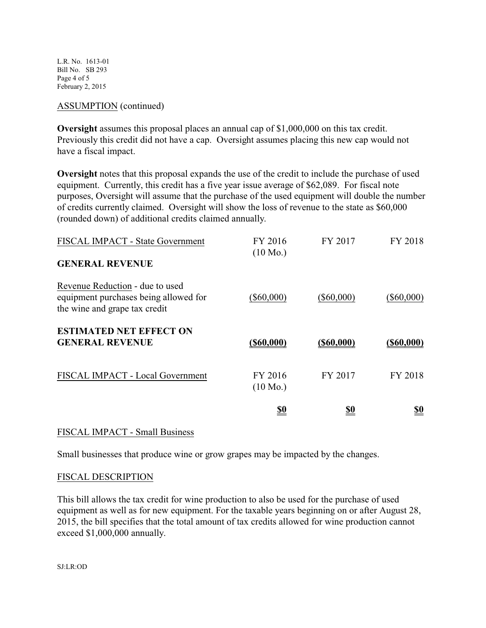L.R. No. 1613-01 Bill No. SB 293 Page 4 of 5 February 2, 2015

#### ASSUMPTION (continued)

**Oversight** assumes this proposal places an annual cap of \$1,000,000 on this tax credit. Previously this credit did not have a cap. Oversight assumes placing this new cap would not have a fiscal impact.

**Oversight** notes that this proposal expands the use of the credit to include the purchase of used equipment. Currently, this credit has a five year issue average of \$62,089. For fiscal note purposes, Oversight will assume that the purchase of the used equipment will double the number of credits currently claimed. Oversight will show the loss of revenue to the state as \$60,000 (rounded down) of additional credits claimed annually.

| FISCAL IMPACT - State Government                                                                          | FY 2016<br>$(10 \text{ Mo.})$ | FY 2017       | FY 2018       |
|-----------------------------------------------------------------------------------------------------------|-------------------------------|---------------|---------------|
| <b>GENERAL REVENUE</b>                                                                                    |                               |               |               |
| Revenue Reduction - due to used<br>equipment purchases being allowed for<br>the wine and grape tax credit | $(\$60,000)$                  | $(\$60,000)$  | $(\$60,000)$  |
| <b>ESTIMATED NET EFFECT ON</b><br><b>GENERAL REVENUE</b>                                                  | $($ \$60,000)                 | $($ \$60,000) | $($ \$60,000) |
| FISCAL IMPACT - Local Government                                                                          | FY 2016<br>$(10 \text{ Mo.})$ | FY 2017       | FY 2018       |
|                                                                                                           | <u>\$0</u>                    | <u>\$0</u>    | <u>so</u>     |

#### FISCAL IMPACT - Small Business

Small businesses that produce wine or grow grapes may be impacted by the changes.

## FISCAL DESCRIPTION

This bill allows the tax credit for wine production to also be used for the purchase of used equipment as well as for new equipment. For the taxable years beginning on or after August 28, 2015, the bill specifies that the total amount of tax credits allowed for wine production cannot exceed \$1,000,000 annually.

SJ:LR:OD